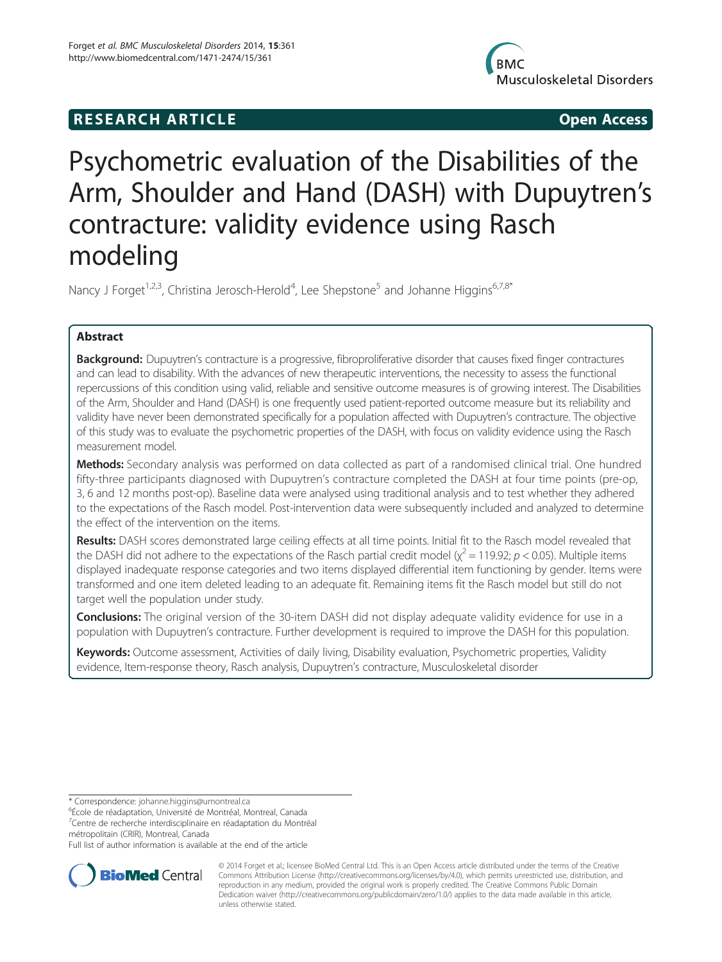# R E S EAR CH A R TIC L E Open Access



# Psychometric evaluation of the Disabilities of the Arm, Shoulder and Hand (DASH) with Dupuytren's contracture: validity evidence using Rasch modeling

Nancy J Forget<sup>1,2,3</sup>, Christina Jerosch-Herold<sup>4</sup>, Lee Shepstone<sup>5</sup> and Johanne Higgins<sup>6,7,8\*</sup>

# Abstract

**Background:** Dupuytren's contracture is a progressive, fibroproliferative disorder that causes fixed finger contractures and can lead to disability. With the advances of new therapeutic interventions, the necessity to assess the functional repercussions of this condition using valid, reliable and sensitive outcome measures is of growing interest. The Disabilities of the Arm, Shoulder and Hand (DASH) is one frequently used patient-reported outcome measure but its reliability and validity have never been demonstrated specifically for a population affected with Dupuytren's contracture. The objective of this study was to evaluate the psychometric properties of the DASH, with focus on validity evidence using the Rasch measurement model.

Methods: Secondary analysis was performed on data collected as part of a randomised clinical trial. One hundred fifty-three participants diagnosed with Dupuytren's contracture completed the DASH at four time points (pre-op, 3, 6 and 12 months post-op). Baseline data were analysed using traditional analysis and to test whether they adhered to the expectations of the Rasch model. Post-intervention data were subsequently included and analyzed to determine the effect of the intervention on the items.

Results: DASH scores demonstrated large ceiling effects at all time points. Initial fit to the Rasch model revealed that the DASH did not adhere to the expectations of the Rasch partial credit model ( $\chi^2$  = 119.92; p < 0.05). Multiple items displayed inadequate response categories and two items displayed differential item functioning by gender. Items were transformed and one item deleted leading to an adequate fit. Remaining items fit the Rasch model but still do not target well the population under study.

**Conclusions:** The original version of the 30-item DASH did not display adequate validity evidence for use in a population with Dupuytren's contracture. Further development is required to improve the DASH for this population.

Keywords: Outcome assessment, Activities of daily living, Disability evaluation, Psychometric properties, Validity evidence, Item-response theory, Rasch analysis, Dupuytren's contracture, Musculoskeletal disorder

\* Correspondence: [johanne.higgins@umontreal.ca](mailto:johanne.higgins@umontreal.ca) <sup>6</sup>

École de réadaptation, Université de Montréal, Montreal, Canada

<sup>7</sup>Centre de recherche interdisciplinaire en réadaptation du Montréal métropolitain (CRIR), Montreal, Canada

Full list of author information is available at the end of the article



© 2014 Forget et al.; licensee BioMed Central Ltd. This is an Open Access article distributed under the terms of the Creative Commons Attribution License [\(http://creativecommons.org/licenses/by/4.0\)](http://creativecommons.org/licenses/by/4.0), which permits unrestricted use, distribution, and reproduction in any medium, provided the original work is properly credited. The Creative Commons Public Domain Dedication waiver [\(http://creativecommons.org/publicdomain/zero/1.0/](http://creativecommons.org/publicdomain/zero/1.0/)) applies to the data made available in this article, unless otherwise stated.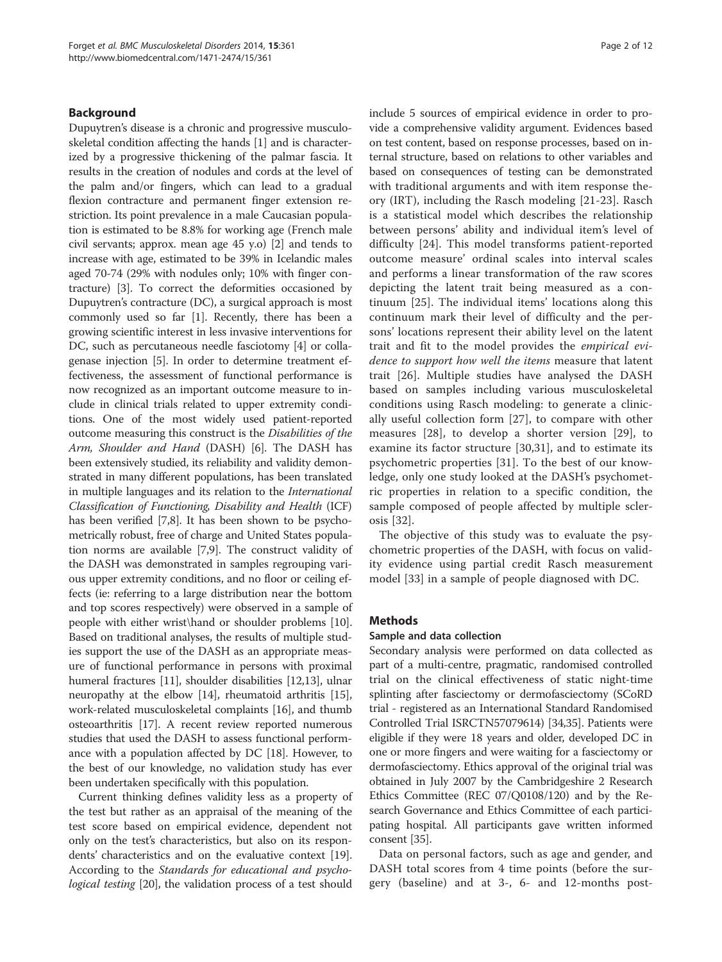#### Background

Dupuytren's disease is a chronic and progressive musculoskeletal condition affecting the hands [\[1](#page-10-0)] and is characterized by a progressive thickening of the palmar fascia. It results in the creation of nodules and cords at the level of the palm and/or fingers, which can lead to a gradual flexion contracture and permanent finger extension restriction. Its point prevalence in a male Caucasian population is estimated to be 8.8% for working age (French male civil servants; approx. mean age 45 y.o) [[2\]](#page-10-0) and tends to increase with age, estimated to be 39% in Icelandic males aged 70-74 (29% with nodules only; 10% with finger contracture) [\[3](#page-10-0)]. To correct the deformities occasioned by Dupuytren's contracture (DC), a surgical approach is most commonly used so far [\[1\]](#page-10-0). Recently, there has been a growing scientific interest in less invasive interventions for DC, such as percutaneous needle fasciotomy [\[4](#page-10-0)] or collagenase injection [[5\]](#page-10-0). In order to determine treatment effectiveness, the assessment of functional performance is now recognized as an important outcome measure to include in clinical trials related to upper extremity conditions. One of the most widely used patient-reported outcome measuring this construct is the Disabilities of the Arm, Shoulder and Hand (DASH) [\[6](#page-10-0)]. The DASH has been extensively studied, its reliability and validity demonstrated in many different populations, has been translated in multiple languages and its relation to the International Classification of Functioning, Disability and Health (ICF) has been verified [\[7,8\]](#page-10-0). It has been shown to be psychometrically robust, free of charge and United States population norms are available [[7,9](#page-10-0)]. The construct validity of the DASH was demonstrated in samples regrouping various upper extremity conditions, and no floor or ceiling effects (ie: referring to a large distribution near the bottom and top scores respectively) were observed in a sample of people with either wrist\hand or shoulder problems [[10](#page-10-0)]. Based on traditional analyses, the results of multiple studies support the use of the DASH as an appropriate measure of functional performance in persons with proximal humeral fractures [[11\]](#page-10-0), shoulder disabilities [[12,13\]](#page-10-0), ulnar neuropathy at the elbow [[14](#page-10-0)], rheumatoid arthritis [[15](#page-10-0)], work-related musculoskeletal complaints [[16](#page-10-0)], and thumb osteoarthritis [[17](#page-10-0)]. A recent review reported numerous studies that used the DASH to assess functional performance with a population affected by DC [\[18\]](#page-10-0). However, to the best of our knowledge, no validation study has ever been undertaken specifically with this population.

Current thinking defines validity less as a property of the test but rather as an appraisal of the meaning of the test score based on empirical evidence, dependent not only on the test's characteristics, but also on its respondents' characteristics and on the evaluative context [[19](#page-10-0)]. According to the Standards for educational and psychological testing [[20](#page-10-0)], the validation process of a test should include 5 sources of empirical evidence in order to provide a comprehensive validity argument. Evidences based on test content, based on response processes, based on internal structure, based on relations to other variables and based on consequences of testing can be demonstrated with traditional arguments and with item response theory (IRT), including the Rasch modeling [[21-23](#page-10-0)]. Rasch is a statistical model which describes the relationship between persons' ability and individual item's level of difficulty [[24\]](#page-10-0). This model transforms patient-reported outcome measure' ordinal scales into interval scales and performs a linear transformation of the raw scores depicting the latent trait being measured as a continuum [\[25](#page-10-0)]. The individual items' locations along this continuum mark their level of difficulty and the persons' locations represent their ability level on the latent trait and fit to the model provides the empirical evidence to support how well the items measure that latent trait [[26\]](#page-11-0). Multiple studies have analysed the DASH based on samples including various musculoskeletal conditions using Rasch modeling: to generate a clinically useful collection form [\[27](#page-11-0)], to compare with other measures [\[28](#page-11-0)], to develop a shorter version [\[29](#page-11-0)], to examine its factor structure [[30,31\]](#page-11-0), and to estimate its psychometric properties [\[31](#page-11-0)]. To the best of our knowledge, only one study looked at the DASH's psychometric properties in relation to a specific condition, the sample composed of people affected by multiple sclerosis [\[32\]](#page-11-0).

The objective of this study was to evaluate the psychometric properties of the DASH, with focus on validity evidence using partial credit Rasch measurement model [[33\]](#page-11-0) in a sample of people diagnosed with DC.

#### **Methods**

#### Sample and data collection

Secondary analysis were performed on data collected as part of a multi-centre, pragmatic, randomised controlled trial on the clinical effectiveness of static night-time splinting after fasciectomy or dermofasciectomy (SCoRD trial - registered as an International Standard Randomised Controlled Trial ISRCTN57079614) [\[34,35\]](#page-11-0). Patients were eligible if they were 18 years and older, developed DC in one or more fingers and were waiting for a fasciectomy or dermofasciectomy. Ethics approval of the original trial was obtained in July 2007 by the Cambridgeshire 2 Research Ethics Committee (REC 07/Q0108/120) and by the Research Governance and Ethics Committee of each participating hospital. All participants gave written informed consent [[35](#page-11-0)].

Data on personal factors, such as age and gender, and DASH total scores from 4 time points (before the surgery (baseline) and at 3-, 6- and 12-months post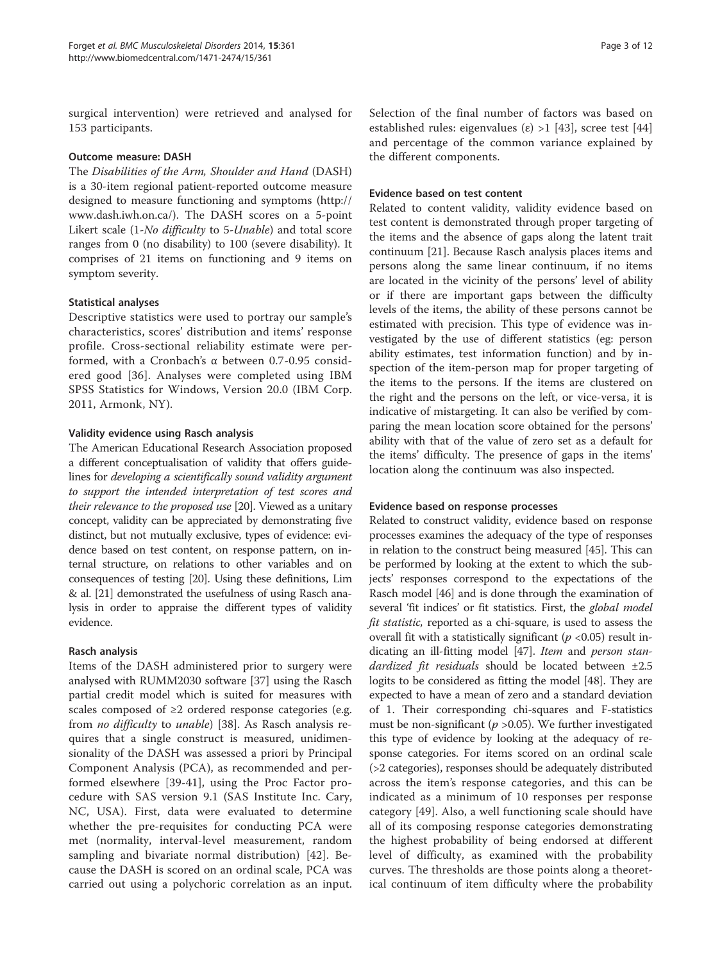surgical intervention) were retrieved and analysed for 153 participants.

### Outcome measure: DASH

The Disabilities of the Arm, Shoulder and Hand (DASH) is a 30-item regional patient-reported outcome measure designed to measure functioning and symptoms [\(http://](http://www.dash.iwh.on.ca/) [www.dash.iwh.on.ca/](http://www.dash.iwh.on.ca/)). The DASH scores on a 5-point Likert scale (1-No difficulty to 5-Unable) and total score ranges from 0 (no disability) to 100 (severe disability). It comprises of 21 items on functioning and 9 items on symptom severity.

# Statistical analyses

Descriptive statistics were used to portray our sample's characteristics, scores' distribution and items' response profile. Cross-sectional reliability estimate were performed, with a Cronbach's α between 0.7-0.95 considered good [[36\]](#page-11-0). Analyses were completed using IBM SPSS Statistics for Windows, Version 20.0 (IBM Corp. 2011, Armonk, NY).

# Validity evidence using Rasch analysis

The American Educational Research Association proposed a different conceptualisation of validity that offers guidelines for developing a scientifically sound validity argument to support the intended interpretation of test scores and their relevance to the proposed use [\[20\]](#page-10-0). Viewed as a unitary concept, validity can be appreciated by demonstrating five distinct, but not mutually exclusive, types of evidence: evidence based on test content, on response pattern, on internal structure, on relations to other variables and on consequences of testing [[20](#page-10-0)]. Using these definitions, Lim & al. [\[21\]](#page-10-0) demonstrated the usefulness of using Rasch analysis in order to appraise the different types of validity evidence.

# Rasch analysis

Items of the DASH administered prior to surgery were analysed with RUMM2030 software [[37](#page-11-0)] using the Rasch partial credit model which is suited for measures with scales composed of  $\geq 2$  ordered response categories (e.g. from no difficulty to unable) [[38\]](#page-11-0). As Rasch analysis requires that a single construct is measured, unidimensionality of the DASH was assessed a priori by Principal Component Analysis (PCA), as recommended and performed elsewhere [[39-41](#page-11-0)], using the Proc Factor procedure with SAS version 9.1 (SAS Institute Inc. Cary, NC, USA). First, data were evaluated to determine whether the pre-requisites for conducting PCA were met (normality, interval-level measurement, random sampling and bivariate normal distribution) [[42\]](#page-11-0). Because the DASH is scored on an ordinal scale, PCA was carried out using a polychoric correlation as an input. Selection of the final number of factors was based on established rules: eigenvalues  $(\varepsilon) > 1$  [[43\]](#page-11-0), scree test [\[44](#page-11-0)] and percentage of the common variance explained by the different components.

### Evidence based on test content

Related to content validity, validity evidence based on test content is demonstrated through proper targeting of the items and the absence of gaps along the latent trait continuum [[21\]](#page-10-0). Because Rasch analysis places items and persons along the same linear continuum, if no items are located in the vicinity of the persons' level of ability or if there are important gaps between the difficulty levels of the items, the ability of these persons cannot be estimated with precision. This type of evidence was investigated by the use of different statistics (eg: person ability estimates, test information function) and by inspection of the item-person map for proper targeting of the items to the persons. If the items are clustered on the right and the persons on the left, or vice-versa, it is indicative of mistargeting. It can also be verified by comparing the mean location score obtained for the persons' ability with that of the value of zero set as a default for the items' difficulty. The presence of gaps in the items' location along the continuum was also inspected.

# Evidence based on response processes

Related to construct validity, evidence based on response processes examines the adequacy of the type of responses in relation to the construct being measured [\[45\]](#page-11-0). This can be performed by looking at the extent to which the subjects' responses correspond to the expectations of the Rasch model [\[46](#page-11-0)] and is done through the examination of several 'fit indices' or fit statistics. First, the global model fit statistic, reported as a chi-square, is used to assess the overall fit with a statistically significant ( $p$  <0.05) result indicating an ill-fitting model [[47](#page-11-0)]. Item and person standardized fit residuals should be located between  $\pm 2.5$ logits to be considered as fitting the model [\[48\]](#page-11-0). They are expected to have a mean of zero and a standard deviation of 1. Their corresponding chi-squares and F-statistics must be non-significant ( $p > 0.05$ ). We further investigated this type of evidence by looking at the adequacy of response categories. For items scored on an ordinal scale (>2 categories), responses should be adequately distributed across the item's response categories, and this can be indicated as a minimum of 10 responses per response category [[49\]](#page-11-0). Also, a well functioning scale should have all of its composing response categories demonstrating the highest probability of being endorsed at different level of difficulty, as examined with the probability curves. The thresholds are those points along a theoretical continuum of item difficulty where the probability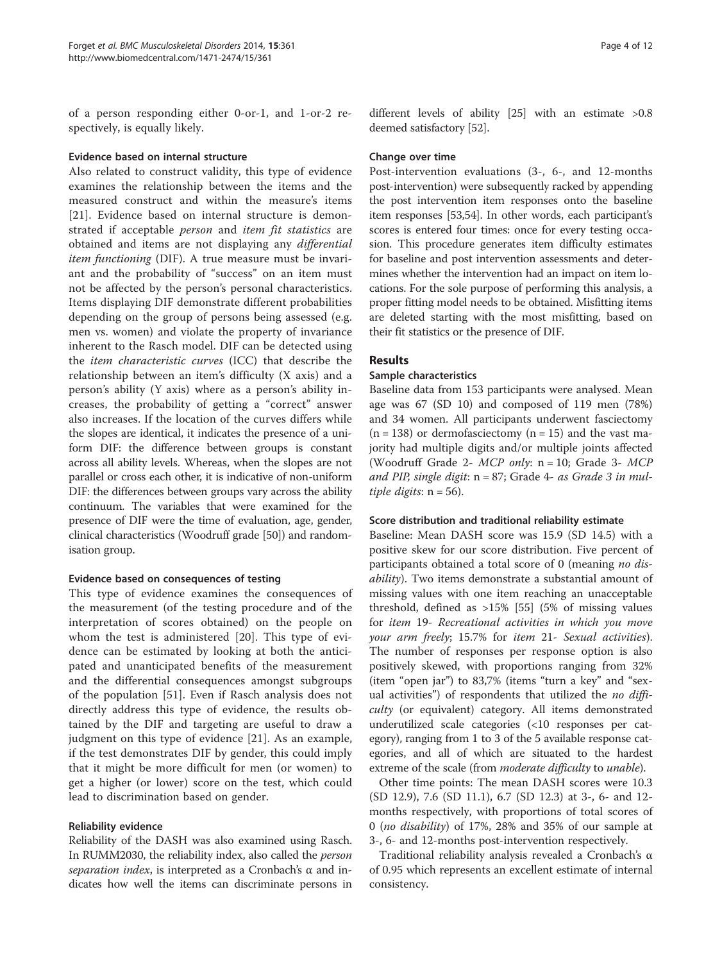of a person responding either 0-or-1, and 1-or-2 respectively, is equally likely.

#### Evidence based on internal structure

Also related to construct validity, this type of evidence examines the relationship between the items and the measured construct and within the measure's items [[21\]](#page-10-0). Evidence based on internal structure is demonstrated if acceptable person and item fit statistics are obtained and items are not displaying any differential item functioning (DIF). A true measure must be invariant and the probability of "success" on an item must not be affected by the person's personal characteristics. Items displaying DIF demonstrate different probabilities depending on the group of persons being assessed (e.g. men vs. women) and violate the property of invariance inherent to the Rasch model. DIF can be detected using the item characteristic curves (ICC) that describe the relationship between an item's difficulty (X axis) and a person's ability (Y axis) where as a person's ability increases, the probability of getting a "correct" answer also increases. If the location of the curves differs while the slopes are identical, it indicates the presence of a uniform DIF: the difference between groups is constant across all ability levels. Whereas, when the slopes are not parallel or cross each other, it is indicative of non-uniform DIF: the differences between groups vary across the ability continuum. The variables that were examined for the presence of DIF were the time of evaluation, age, gender, clinical characteristics (Woodruff grade [[50](#page-11-0)]) and randomisation group.

# Evidence based on consequences of testing

This type of evidence examines the consequences of the measurement (of the testing procedure and of the interpretation of scores obtained) on the people on whom the test is administered [\[20](#page-10-0)]. This type of evidence can be estimated by looking at both the anticipated and unanticipated benefits of the measurement and the differential consequences amongst subgroups of the population [[51\]](#page-11-0). Even if Rasch analysis does not directly address this type of evidence, the results obtained by the DIF and targeting are useful to draw a judgment on this type of evidence [\[21](#page-10-0)]. As an example, if the test demonstrates DIF by gender, this could imply that it might be more difficult for men (or women) to get a higher (or lower) score on the test, which could lead to discrimination based on gender.

# Reliability evidence

Reliability of the DASH was also examined using Rasch. In RUMM2030, the reliability index, also called the person separation index, is interpreted as a Cronbach's  $\alpha$  and indicates how well the items can discriminate persons in different levels of ability [[25](#page-10-0)] with an estimate >0.8 deemed satisfactory [\[52\]](#page-11-0).

#### Change over time

Post-intervention evaluations (3-, 6-, and 12-months post-intervention) were subsequently racked by appending the post intervention item responses onto the baseline item responses [[53,54\]](#page-11-0). In other words, each participant's scores is entered four times: once for every testing occasion. This procedure generates item difficulty estimates for baseline and post intervention assessments and determines whether the intervention had an impact on item locations. For the sole purpose of performing this analysis, a proper fitting model needs to be obtained. Misfitting items are deleted starting with the most misfitting, based on their fit statistics or the presence of DIF.

#### Results

#### Sample characteristics

Baseline data from 153 participants were analysed. Mean age was 67 (SD 10) and composed of 119 men (78%) and 34 women. All participants underwent fasciectomy  $(n = 138)$  or dermofasciectomy  $(n = 15)$  and the vast majority had multiple digits and/or multiple joints affected (Woodruff Grade 2- MCP only: n = 10; Grade 3- MCP and PIP, single digit:  $n = 87$ ; Grade 4- as Grade 3 in multiple digits:  $n = 56$ ).

#### Score distribution and traditional reliability estimate

Baseline: Mean DASH score was 15.9 (SD 14.5) with a positive skew for our score distribution. Five percent of participants obtained a total score of 0 (meaning no disability). Two items demonstrate a substantial amount of missing values with one item reaching an unacceptable threshold, defined as >15% [[55\]](#page-11-0) (5% of missing values for item 19- Recreational activities in which you move your arm freely; 15.7% for item 21- Sexual activities). The number of responses per response option is also positively skewed, with proportions ranging from 32% (item "open jar") to 83,7% (items "turn a key" and "sexual activities") of respondents that utilized the *no diffi*culty (or equivalent) category. All items demonstrated underutilized scale categories (<10 responses per category), ranging from 1 to 3 of the 5 available response categories, and all of which are situated to the hardest extreme of the scale (from *moderate difficulty* to *unable*).

Other time points: The mean DASH scores were 10.3 (SD 12.9), 7.6 (SD 11.1), 6.7 (SD 12.3) at 3-, 6- and 12 months respectively, with proportions of total scores of 0 (no disability) of 17%, 28% and 35% of our sample at 3-, 6- and 12-months post-intervention respectively.

Traditional reliability analysis revealed a Cronbach's α of 0.95 which represents an excellent estimate of internal consistency.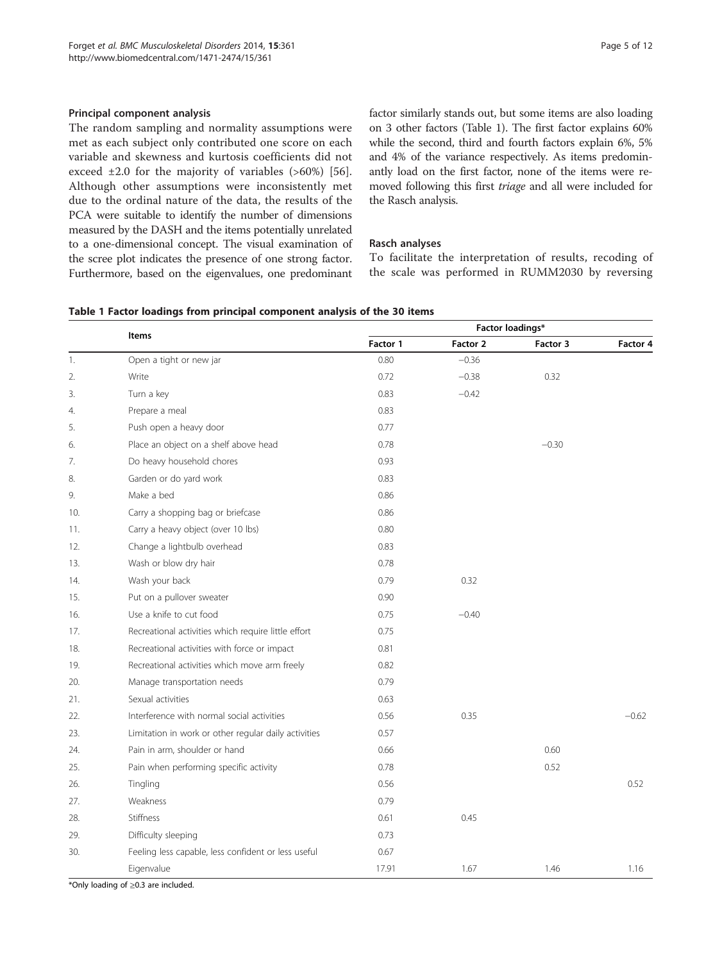#### Principal component analysis

The random sampling and normality assumptions were met as each subject only contributed one score on each variable and skewness and kurtosis coefficients did not exceed  $\pm 2.0$  for the majority of variables (>60%) [\[56](#page-11-0)]. Although other assumptions were inconsistently met due to the ordinal nature of the data, the results of the PCA were suitable to identify the number of dimensions measured by the DASH and the items potentially unrelated to a one-dimensional concept. The visual examination of the scree plot indicates the presence of one strong factor. Furthermore, based on the eigenvalues, one predominant

factor similarly stands out, but some items are also loading on 3 other factors (Table 1). The first factor explains 60% while the second, third and fourth factors explain 6%, 5% and 4% of the variance respectively. As items predominantly load on the first factor, none of the items were removed following this first triage and all were included for the Rasch analysis.

#### Rasch analyses

To facilitate the interpretation of results, recoding of the scale was performed in RUMM2030 by reversing

| Table 1 Factor loadings from principal component analysis of the 30 items |  |  |  |  |  |  |
|---------------------------------------------------------------------------|--|--|--|--|--|--|
|---------------------------------------------------------------------------|--|--|--|--|--|--|

|     | <b>Items</b>                                         | Factor loadings* |          |          |          |  |  |
|-----|------------------------------------------------------|------------------|----------|----------|----------|--|--|
|     |                                                      | Factor 1         | Factor 2 | Factor 3 | Factor 4 |  |  |
| 1.  | Open a tight or new jar                              | 0.80             | $-0.36$  |          |          |  |  |
| 2.  | Write                                                | 0.72             | $-0.38$  | 0.32     |          |  |  |
| 3.  | Turn a key                                           | 0.83             | $-0.42$  |          |          |  |  |
| 4.  | Prepare a meal                                       | 0.83             |          |          |          |  |  |
| 5.  | Push open a heavy door                               | 0.77             |          |          |          |  |  |
| 6.  | Place an object on a shelf above head                | 0.78             |          | $-0.30$  |          |  |  |
| 7.  | Do heavy household chores                            | 0.93             |          |          |          |  |  |
| 8.  | Garden or do yard work                               | 0.83             |          |          |          |  |  |
| 9.  | Make a bed                                           | 0.86             |          |          |          |  |  |
| 10. | Carry a shopping bag or briefcase                    | 0.86             |          |          |          |  |  |
| 11. | Carry a heavy object (over 10 lbs)                   | 0.80             |          |          |          |  |  |
| 12. | Change a lightbulb overhead                          | 0.83             |          |          |          |  |  |
| 13. | Wash or blow dry hair                                | 0.78             |          |          |          |  |  |
| 14. | Wash your back                                       | 0.79             | 0.32     |          |          |  |  |
| 15. | Put on a pullover sweater                            | 0.90             |          |          |          |  |  |
| 16. | Use a knife to cut food                              | 0.75             | $-0.40$  |          |          |  |  |
| 17. | Recreational activities which require little effort  | 0.75             |          |          |          |  |  |
| 18. | Recreational activities with force or impact         | 0.81             |          |          |          |  |  |
| 19. | Recreational activities which move arm freely        | 0.82             |          |          |          |  |  |
| 20. | Manage transportation needs                          | 0.79             |          |          |          |  |  |
| 21. | Sexual activities                                    | 0.63             |          |          |          |  |  |
| 22. | Interference with normal social activities           | 0.56             | 0.35     |          | $-0.62$  |  |  |
| 23. | Limitation in work or other regular daily activities | 0.57             |          |          |          |  |  |
| 24. | Pain in arm, shoulder or hand                        | 0.66             |          | 0.60     |          |  |  |
| 25. | Pain when performing specific activity               | 0.78             |          | 0.52     |          |  |  |
| 26. | Tingling                                             | 0.56             |          |          | 0.52     |  |  |
| 27. | Weakness                                             | 0.79             |          |          |          |  |  |
| 28. | Stiffness                                            | 0.61             | 0.45     |          |          |  |  |
| 29. | Difficulty sleeping                                  | 0.73             |          |          |          |  |  |
| 30. | Feeling less capable, less confident or less useful  | 0.67             |          |          |          |  |  |
|     | Eigenvalue                                           | 17.91            | 1.67     | 1.46     | 1.16     |  |  |

\*Only loading of ≥0.3 are included.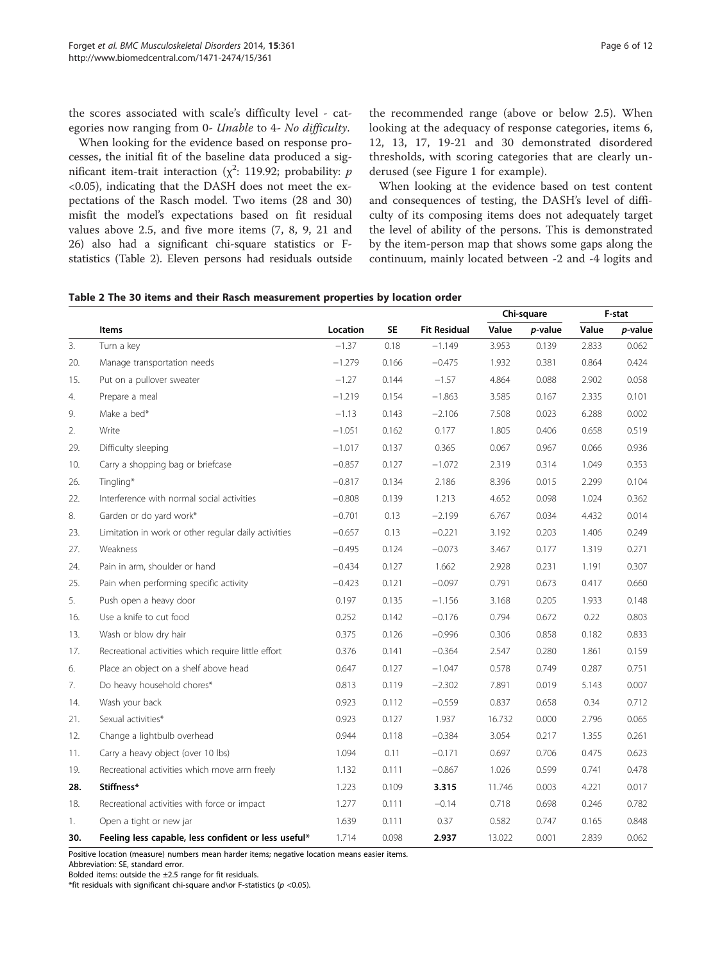the scores associated with scale's difficulty level - categories now ranging from 0- Unable to 4- No difficulty.

When looking for the evidence based on response processes, the initial fit of the baseline data produced a significant item-trait interaction ( $\chi^2$ : 119.92; probability: p <0.05), indicating that the DASH does not meet the expectations of the Rasch model. Two items (28 and 30) misfit the model's expectations based on fit residual values above 2.5, and five more items (7, 8, 9, 21 and 26) also had a significant chi-square statistics or Fstatistics (Table 2). Eleven persons had residuals outside

the recommended range (above or below 2.5). When looking at the adequacy of response categories, items 6, 12, 13, 17, 19-21 and 30 demonstrated disordered thresholds, with scoring categories that are clearly underused (see Figure [1](#page-6-0) for example).

When looking at the evidence based on test content and consequences of testing, the DASH's level of difficulty of its composing items does not adequately target the level of ability of the persons. This is demonstrated by the item-person map that shows some gaps along the continuum, mainly located between -2 and -4 logits and

Chi-square F-stat

|     |                                                      | Location | <b>SE</b> | <b>Fit Residual</b> | Chi-square |                 | r-stat |         |
|-----|------------------------------------------------------|----------|-----------|---------------------|------------|-----------------|--------|---------|
|     | <b>Items</b>                                         |          |           |                     | Value      | <i>p</i> -value | Value  | p-value |
| 3.  | Turn a key                                           | $-1.37$  | 0.18      | $-1.149$            | 3.953      | 0.139           | 2.833  | 0.062   |
| 20. | Manage transportation needs                          | $-1.279$ | 0.166     | $-0.475$            | 1.932      | 0.381           | 0.864  | 0.424   |
| 15. | Put on a pullover sweater                            | $-1.27$  | 0.144     | $-1.57$             | 4.864      | 0.088           | 2.902  | 0.058   |
| 4.  | Prepare a meal                                       | $-1.219$ | 0.154     | $-1.863$            | 3.585      | 0.167           | 2.335  | 0.101   |
| 9.  | Make a bed*                                          | $-1.13$  | 0.143     | $-2.106$            | 7.508      | 0.023           | 6.288  | 0.002   |
| 2.  | Write                                                | $-1.051$ | 0.162     | 0.177               | 1.805      | 0.406           | 0.658  | 0.519   |
| 29. | Difficulty sleeping                                  | $-1.017$ | 0.137     | 0.365               | 0.067      | 0.967           | 0.066  | 0.936   |
| 10. | Carry a shopping bag or briefcase                    | $-0.857$ | 0.127     | $-1.072$            | 2.319      | 0.314           | 1.049  | 0.353   |
| 26. | Tingling*                                            | $-0.817$ | 0.134     | 2.186               | 8.396      | 0.015           | 2.299  | 0.104   |
| 22. | Interference with normal social activities           | $-0.808$ | 0.139     | 1.213               | 4.652      | 0.098           | 1.024  | 0.362   |
| 8.  | Garden or do yard work*                              | $-0.701$ | 0.13      | $-2.199$            | 6.767      | 0.034           | 4.432  | 0.014   |
| 23. | Limitation in work or other regular daily activities | $-0.657$ | 0.13      | $-0.221$            | 3.192      | 0.203           | 1.406  | 0.249   |
| 27. | Weakness                                             | $-0.495$ | 0.124     | $-0.073$            | 3.467      | 0.177           | 1.319  | 0.271   |
| 24. | Pain in arm, shoulder or hand                        | $-0.434$ | 0.127     | 1.662               | 2.928      | 0.231           | 1.191  | 0.307   |
| 25. | Pain when performing specific activity               | $-0.423$ | 0.121     | $-0.097$            | 0.791      | 0.673           | 0.417  | 0.660   |
| 5.  | Push open a heavy door                               | 0.197    | 0.135     | $-1.156$            | 3.168      | 0.205           | 1.933  | 0.148   |
| 16. | Use a knife to cut food                              | 0.252    | 0.142     | $-0.176$            | 0.794      | 0.672           | 0.22   | 0.803   |
| 13. | Wash or blow dry hair                                | 0.375    | 0.126     | $-0.996$            | 0.306      | 0.858           | 0.182  | 0.833   |
| 17. | Recreational activities which require little effort  | 0.376    | 0.141     | $-0.364$            | 2.547      | 0.280           | 1.861  | 0.159   |
| 6.  | Place an object on a shelf above head                | 0.647    | 0.127     | $-1.047$            | 0.578      | 0.749           | 0.287  | 0.751   |
| 7.  | Do heavy household chores*                           | 0.813    | 0.119     | $-2.302$            | 7.891      | 0.019           | 5.143  | 0.007   |
| 14. | Wash your back                                       | 0.923    | 0.112     | $-0.559$            | 0.837      | 0.658           | 0.34   | 0.712   |
| 21. | Sexual activities*                                   | 0.923    | 0.127     | 1.937               | 16.732     | 0.000           | 2.796  | 0.065   |
| 12. | Change a lightbulb overhead                          | 0.944    | 0.118     | $-0.384$            | 3.054      | 0.217           | 1.355  | 0.261   |
| 11. | Carry a heavy object (over 10 lbs)                   | 1.094    | 0.11      | $-0.171$            | 0.697      | 0.706           | 0.475  | 0.623   |
| 19. | Recreational activities which move arm freely        | 1.132    | 0.111     | $-0.867$            | 1.026      | 0.599           | 0.741  | 0.478   |
| 28. | Stiffness*                                           | 1.223    | 0.109     | 3.315               | 11.746     | 0.003           | 4.221  | 0.017   |
| 18. | Recreational activities with force or impact         | 1.277    | 0.111     | $-0.14$             | 0.718      | 0.698           | 0.246  | 0.782   |
| 1.  | Open a tight or new jar                              | 1.639    | 0.111     | 0.37                | 0.582      | 0.747           | 0.165  | 0.848   |
| 30. | Feeling less capable, less confident or less useful* | 1.714    | 0.098     | 2.937               | 13.022     | 0.001           | 2.839  | 0.062   |

Positive location (measure) numbers mean harder items; negative location means easier items.

Abbreviation: SE, standard error.

Bolded items: outside the ±2.5 range for fit residuals.

\*fit residuals with significant chi-square and\or F-statistics ( $p$  <0.05).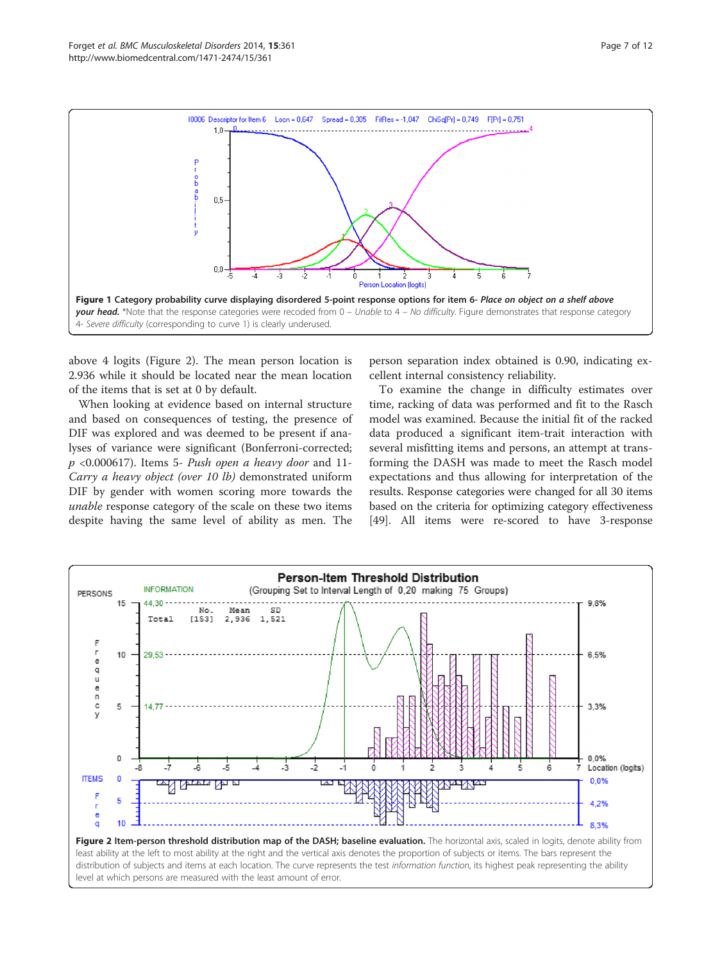<span id="page-6-0"></span>

above 4 logits (Figure 2). The mean person location is 2.936 while it should be located near the mean location of the items that is set at 0 by default.

When looking at evidence based on internal structure and based on consequences of testing, the presence of DIF was explored and was deemed to be present if analyses of variance were significant (Bonferroni-corrected;  $p$  <0.000617). Items 5- Push open a heavy door and 11-Carry a heavy object (over 10 lb) demonstrated uniform DIF by gender with women scoring more towards the unable response category of the scale on these two items despite having the same level of ability as men. The

person separation index obtained is 0.90, indicating excellent internal consistency reliability.

To examine the change in difficulty estimates over time, racking of data was performed and fit to the Rasch model was examined. Because the initial fit of the racked data produced a significant item-trait interaction with several misfitting items and persons, an attempt at transforming the DASH was made to meet the Rasch model expectations and thus allowing for interpretation of the results. Response categories were changed for all 30 items based on the criteria for optimizing category effectiveness [[49](#page-11-0)]. All items were re-scored to have 3-response

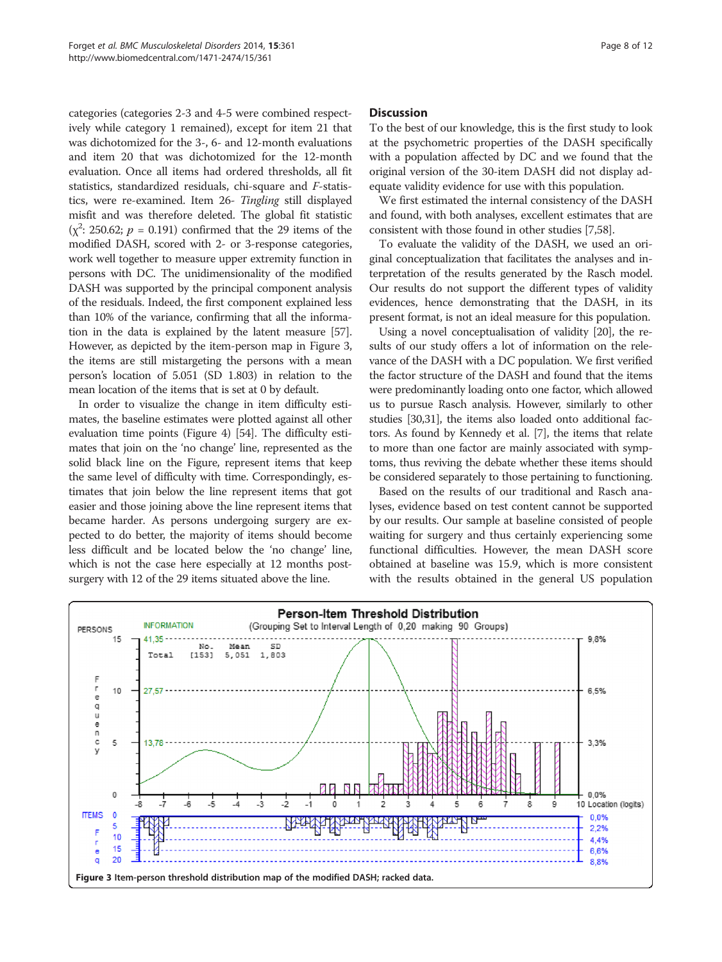categories (categories 2-3 and 4-5 were combined respectively while category 1 remained), except for item 21 that was dichotomized for the 3-, 6- and 12-month evaluations and item 20 that was dichotomized for the 12-month evaluation. Once all items had ordered thresholds, all fit statistics, standardized residuals, chi-square and F-statistics, were re-examined. Item 26- Tingling still displayed misfit and was therefore deleted. The global fit statistic  $(\chi^2: 250.62; p = 0.191)$  confirmed that the 29 items of the modified DASH, scored with 2- or 3-response categories, work well together to measure upper extremity function in persons with DC. The unidimensionality of the modified DASH was supported by the principal component analysis of the residuals. Indeed, the first component explained less than 10% of the variance, confirming that all the information in the data is explained by the latent measure [\[57](#page-11-0)]. However, as depicted by the item-person map in Figure 3, the items are still mistargeting the persons with a mean person's location of 5.051 (SD 1.803) in relation to the mean location of the items that is set at 0 by default.

In order to visualize the change in item difficulty estimates, the baseline estimates were plotted against all other evaluation time points (Figure [4](#page-8-0)) [\[54\]](#page-11-0). The difficulty estimates that join on the 'no change' line, represented as the solid black line on the Figure, represent items that keep the same level of difficulty with time. Correspondingly, estimates that join below the line represent items that got easier and those joining above the line represent items that became harder. As persons undergoing surgery are expected to do better, the majority of items should become less difficult and be located below the 'no change' line, which is not the case here especially at 12 months postsurgery with 12 of the 29 items situated above the line.

#### **Discussion**

To the best of our knowledge, this is the first study to look at the psychometric properties of the DASH specifically with a population affected by DC and we found that the original version of the 30-item DASH did not display adequate validity evidence for use with this population.

We first estimated the internal consistency of the DASH and found, with both analyses, excellent estimates that are consistent with those found in other studies [[7](#page-10-0)[,58](#page-11-0)].

To evaluate the validity of the DASH, we used an original conceptualization that facilitates the analyses and interpretation of the results generated by the Rasch model. Our results do not support the different types of validity evidences, hence demonstrating that the DASH, in its present format, is not an ideal measure for this population.

Using a novel conceptualisation of validity [\[20\]](#page-10-0), the results of our study offers a lot of information on the relevance of the DASH with a DC population. We first verified the factor structure of the DASH and found that the items were predominantly loading onto one factor, which allowed us to pursue Rasch analysis. However, similarly to other studies [[30,31\]](#page-11-0), the items also loaded onto additional factors. As found by Kennedy et al. [\[7](#page-10-0)], the items that relate to more than one factor are mainly associated with symptoms, thus reviving the debate whether these items should be considered separately to those pertaining to functioning.

Based on the results of our traditional and Rasch analyses, evidence based on test content cannot be supported by our results. Our sample at baseline consisted of people waiting for surgery and thus certainly experiencing some functional difficulties. However, the mean DASH score obtained at baseline was 15.9, which is more consistent with the results obtained in the general US population

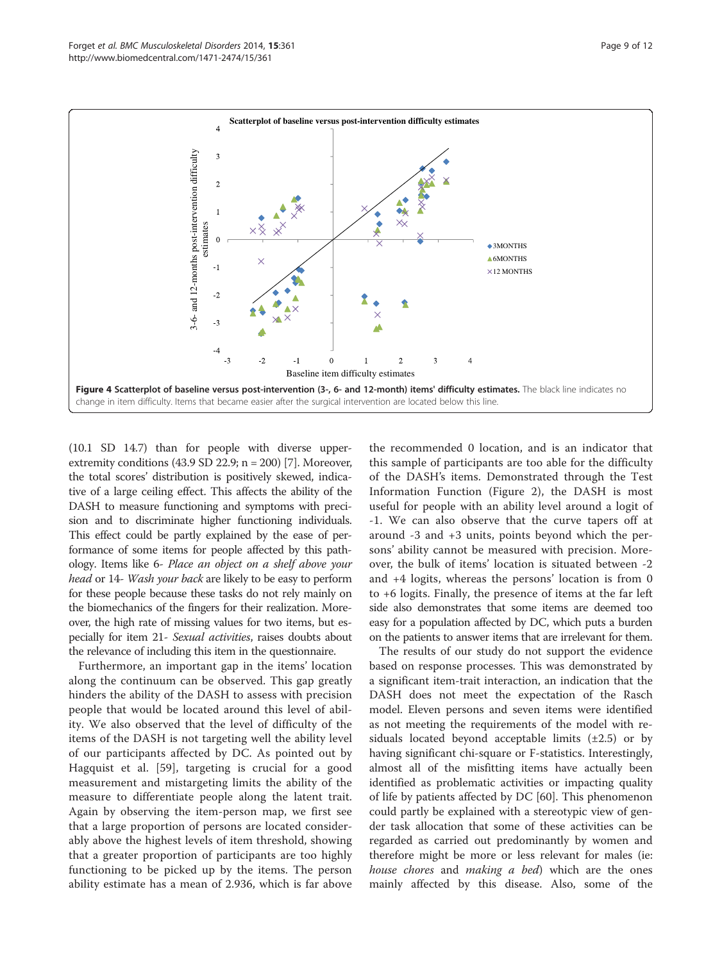<span id="page-8-0"></span>

(10.1 SD 14.7) than for people with diverse upperextremity conditions (43.9 SD 22.9; n = 200) [\[7](#page-10-0)]. Moreover, the total scores' distribution is positively skewed, indicative of a large ceiling effect. This affects the ability of the DASH to measure functioning and symptoms with precision and to discriminate higher functioning individuals. This effect could be partly explained by the ease of performance of some items for people affected by this pathology. Items like 6- Place an object on a shelf above your head or 14- Wash your back are likely to be easy to perform for these people because these tasks do not rely mainly on the biomechanics of the fingers for their realization. Moreover, the high rate of missing values for two items, but especially for item 21- Sexual activities, raises doubts about the relevance of including this item in the questionnaire.

Furthermore, an important gap in the items' location along the continuum can be observed. This gap greatly hinders the ability of the DASH to assess with precision people that would be located around this level of ability. We also observed that the level of difficulty of the items of the DASH is not targeting well the ability level of our participants affected by DC. As pointed out by Hagquist et al. [[59\]](#page-11-0), targeting is crucial for a good measurement and mistargeting limits the ability of the measure to differentiate people along the latent trait. Again by observing the item-person map, we first see that a large proportion of persons are located considerably above the highest levels of item threshold, showing that a greater proportion of participants are too highly functioning to be picked up by the items. The person ability estimate has a mean of 2.936, which is far above the recommended 0 location, and is an indicator that this sample of participants are too able for the difficulty of the DASH's items. Demonstrated through the Test Information Function (Figure [2](#page-6-0)), the DASH is most useful for people with an ability level around a logit of -1. We can also observe that the curve tapers off at around -3 and +3 units, points beyond which the persons' ability cannot be measured with precision. Moreover, the bulk of items' location is situated between -2 and +4 logits, whereas the persons' location is from 0 to +6 logits. Finally, the presence of items at the far left side also demonstrates that some items are deemed too easy for a population affected by DC, which puts a burden on the patients to answer items that are irrelevant for them.

The results of our study do not support the evidence based on response processes. This was demonstrated by a significant item-trait interaction, an indication that the DASH does not meet the expectation of the Rasch model. Eleven persons and seven items were identified as not meeting the requirements of the model with residuals located beyond acceptable limits (±2.5) or by having significant chi-square or F-statistics. Interestingly, almost all of the misfitting items have actually been identified as problematic activities or impacting quality of life by patients affected by DC [[60](#page-11-0)]. This phenomenon could partly be explained with a stereotypic view of gender task allocation that some of these activities can be regarded as carried out predominantly by women and therefore might be more or less relevant for males (ie: house chores and making a bed) which are the ones mainly affected by this disease. Also, some of the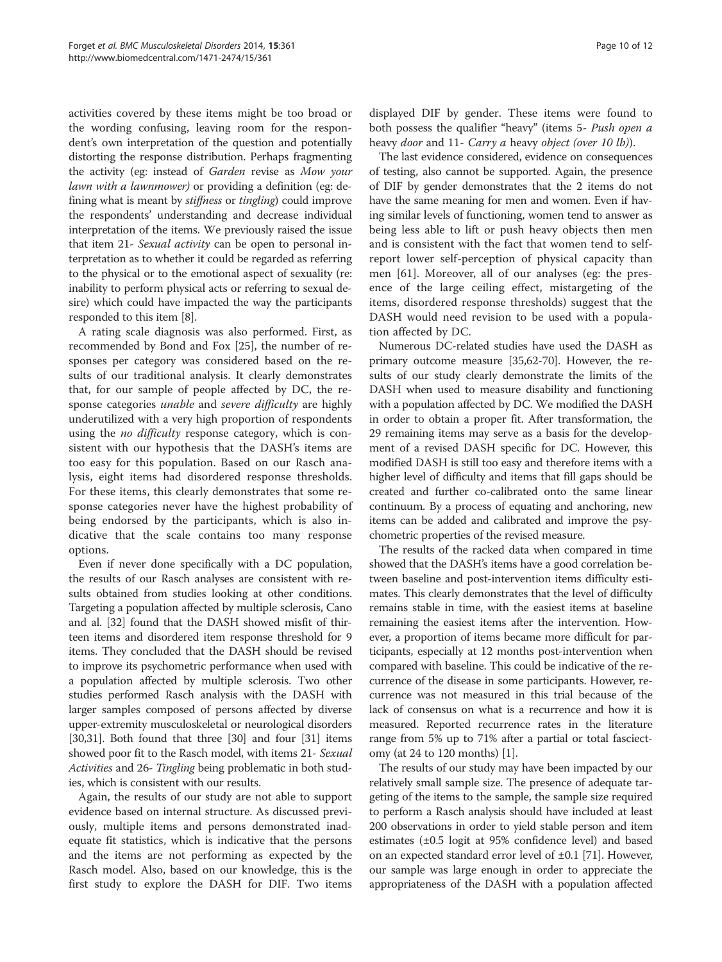activities covered by these items might be too broad or the wording confusing, leaving room for the respondent's own interpretation of the question and potentially distorting the response distribution. Perhaps fragmenting the activity (eg: instead of Garden revise as Mow your lawn with a lawnmower) or providing a definition (eg: defining what is meant by stiffness or tingling) could improve the respondents' understanding and decrease individual interpretation of the items. We previously raised the issue that item 21- Sexual activity can be open to personal interpretation as to whether it could be regarded as referring to the physical or to the emotional aspect of sexuality (re: inability to perform physical acts or referring to sexual desire) which could have impacted the way the participants responded to this item [[8](#page-10-0)].

A rating scale diagnosis was also performed. First, as recommended by Bond and Fox [[25\]](#page-10-0), the number of responses per category was considered based on the results of our traditional analysis. It clearly demonstrates that, for our sample of people affected by DC, the response categories *unable* and *severe difficulty* are highly underutilized with a very high proportion of respondents using the no difficulty response category, which is consistent with our hypothesis that the DASH's items are too easy for this population. Based on our Rasch analysis, eight items had disordered response thresholds. For these items, this clearly demonstrates that some response categories never have the highest probability of being endorsed by the participants, which is also indicative that the scale contains too many response options.

Even if never done specifically with a DC population, the results of our Rasch analyses are consistent with results obtained from studies looking at other conditions. Targeting a population affected by multiple sclerosis, Cano and al. [\[32\]](#page-11-0) found that the DASH showed misfit of thirteen items and disordered item response threshold for 9 items. They concluded that the DASH should be revised to improve its psychometric performance when used with a population affected by multiple sclerosis. Two other studies performed Rasch analysis with the DASH with larger samples composed of persons affected by diverse upper-extremity musculoskeletal or neurological disorders [[30,31](#page-11-0)]. Both found that three [[30](#page-11-0)] and four [[31](#page-11-0)] items showed poor fit to the Rasch model, with items 21- Sexual Activities and 26- Tingling being problematic in both studies, which is consistent with our results.

Again, the results of our study are not able to support evidence based on internal structure. As discussed previously, multiple items and persons demonstrated inadequate fit statistics, which is indicative that the persons and the items are not performing as expected by the Rasch model. Also, based on our knowledge, this is the first study to explore the DASH for DIF. Two items

displayed DIF by gender. These items were found to both possess the qualifier "heavy" (items 5- Push open a heavy *door* and 11- Carry a heavy *object* (over 10 lb)).

The last evidence considered, evidence on consequences of testing, also cannot be supported. Again, the presence of DIF by gender demonstrates that the 2 items do not have the same meaning for men and women. Even if having similar levels of functioning, women tend to answer as being less able to lift or push heavy objects then men and is consistent with the fact that women tend to selfreport lower self-perception of physical capacity than men [[61\]](#page-11-0). Moreover, all of our analyses (eg: the presence of the large ceiling effect, mistargeting of the items, disordered response thresholds) suggest that the DASH would need revision to be used with a population affected by DC.

Numerous DC-related studies have used the DASH as primary outcome measure [[35,62](#page-11-0)-[70](#page-11-0)]. However, the results of our study clearly demonstrate the limits of the DASH when used to measure disability and functioning with a population affected by DC. We modified the DASH in order to obtain a proper fit. After transformation, the 29 remaining items may serve as a basis for the development of a revised DASH specific for DC. However, this modified DASH is still too easy and therefore items with a higher level of difficulty and items that fill gaps should be created and further co-calibrated onto the same linear continuum. By a process of equating and anchoring, new items can be added and calibrated and improve the psychometric properties of the revised measure.

The results of the racked data when compared in time showed that the DASH's items have a good correlation between baseline and post-intervention items difficulty estimates. This clearly demonstrates that the level of difficulty remains stable in time, with the easiest items at baseline remaining the easiest items after the intervention. However, a proportion of items became more difficult for participants, especially at 12 months post-intervention when compared with baseline. This could be indicative of the recurrence of the disease in some participants. However, recurrence was not measured in this trial because of the lack of consensus on what is a recurrence and how it is measured. Reported recurrence rates in the literature range from 5% up to 71% after a partial or total fasciectomy (at 24 to 120 months) [\[1](#page-10-0)].

The results of our study may have been impacted by our relatively small sample size. The presence of adequate targeting of the items to the sample, the sample size required to perform a Rasch analysis should have included at least 200 observations in order to yield stable person and item estimates (±0.5 logit at 95% confidence level) and based on an expected standard error level of ±0.1 [[71](#page-11-0)]. However, our sample was large enough in order to appreciate the appropriateness of the DASH with a population affected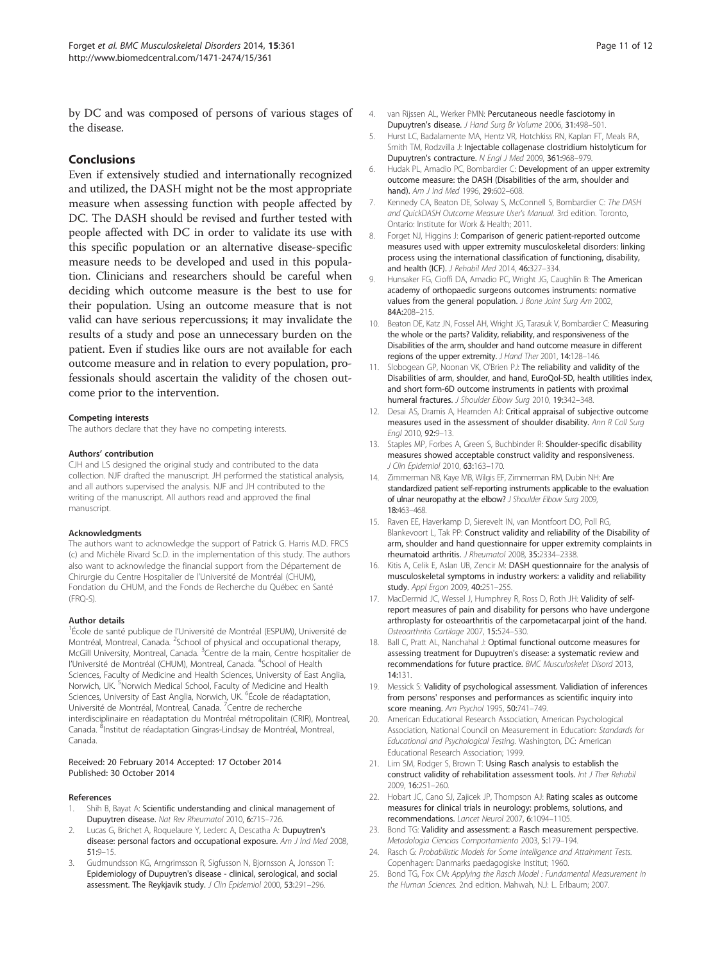<span id="page-10-0"></span>by DC and was composed of persons of various stages of the disease.

#### Conclusions

Even if extensively studied and internationally recognized and utilized, the DASH might not be the most appropriate measure when assessing function with people affected by DC. The DASH should be revised and further tested with people affected with DC in order to validate its use with this specific population or an alternative disease-specific measure needs to be developed and used in this population. Clinicians and researchers should be careful when deciding which outcome measure is the best to use for their population. Using an outcome measure that is not valid can have serious repercussions; it may invalidate the results of a study and pose an unnecessary burden on the patient. Even if studies like ours are not available for each outcome measure and in relation to every population, professionals should ascertain the validity of the chosen outcome prior to the intervention.

#### Competing interests

The authors declare that they have no competing interests.

#### Authors' contribution

CJH and LS designed the original study and contributed to the data collection. NJF drafted the manuscript. JH performed the statistical analysis, and all authors supervised the analysis. NJF and JH contributed to the writing of the manuscript. All authors read and approved the final manuscript.

#### Acknowledgments

The authors want to acknowledge the support of Patrick G. Harris M.D. FRCS (c) and Michèle Rivard Sc.D. in the implementation of this study. The authors also want to acknowledge the financial support from the Département de Chirurgie du Centre Hospitalier de l'Université de Montréal (CHUM), Fondation du CHUM, and the Fonds de Recherche du Québec en Santé  $(FRO-S)$ .

#### Author details

<sup>1</sup>École de santé publique de l'Université de Montréal (ESPUM), Université de Montréal, Montreal, Canada. <sup>2</sup>School of physical and occupational therapy, McGill University, Montreal, Canada. <sup>3</sup>Centre de la main, Centre hospitalier de l'Université de Montréal (CHUM), Montreal, Canada. <sup>4</sup>School of Health Sciences, Faculty of Medicine and Health Sciences, University of East Anglia, Norwich, UK. <sup>5</sup>Norwich Medical School, Faculty of Medicine and Health Sciences, University of East Anglia, Norwich, UK. <sup>6</sup>École de réadaptation, Université de Montréal, Montreal, Canada. <sup>7</sup>Centre de recherche interdisciplinaire en réadaptation du Montréal métropolitain (CRIR), Montreal, Canada. <sup>8</sup>Institut de réadaptation Gingras-Lindsay de Montréal, Montreal, Canada.

#### Received: 20 February 2014 Accepted: 17 October 2014 Published: 30 October 2014

#### References

- 1. Shih B, Bayat A: Scientific understanding and clinical management of Dupuytren disease. Nat Rev Rheumatol 2010, 6:715–726.
- Lucas G, Brichet A, Roquelaure Y, Leclerc A, Descatha A: Dupuytren's disease: personal factors and occupational exposure. Am J Ind Med 2008, 51:9–15.
- 3. Gudmundsson KG, Arngrimsson R, Sigfusson N, Bjornsson A, Jonsson T: Epidemiology of Dupuytren's disease - clinical, serological, and social assessment. The Reykjavik study. J Clin Epidemiol 2000, 53:291-296.
- 4. van Rijssen AL, Werker PMN: Percutaneous needle fasciotomy in Dupuytren's disease. J Hand Surg Br Volume 2006, 31:498–501.
- 5. Hurst LC, Badalamente MA, Hentz VR, Hotchkiss RN, Kaplan FT, Meals RA, Smith TM, Rodzvilla J: Injectable collagenase clostridium histolyticum for Dupuytren's contracture. N Engl J Med 2009, 361:968–979.
- 6. Hudak PL, Amadio PC, Bombardier C: Development of an upper extremity outcome measure: the DASH (Disabilities of the arm, shoulder and hand). Am J Ind Med 1996, 29:602-608.
- 7. Kennedy CA, Beaton DE, Solway S, McConnell S, Bombardier C: The DASH and QuickDASH Outcome Measure User's Manual. 3rd edition. Toronto, Ontario: Institute for Work & Health; 2011.
- 8. Forget NJ, Higgins J: Comparison of generic patient-reported outcome measures used with upper extremity musculoskeletal disorders: linking process using the international classification of functioning, disability, and health (ICF). J Rehabil Med 2014, 46:327-334.
- 9. Hunsaker FG, Cioffi DA, Amadio PC, Wright JG, Caughlin B: The American academy of orthopaedic surgeons outcomes instruments: normative values from the general population. J Bone Joint Surg Am 2002, 84A:208–215.
- 10. Beaton DE, Katz JN, Fossel AH, Wright JG, Tarasuk V, Bombardier C: Measuring the whole or the parts? Validity, reliability, and responsiveness of the Disabilities of the arm, shoulder and hand outcome measure in different regions of the upper extremity. J Hand Ther 2001, 14:128-146.
- 11. Slobogean GP, Noonan VK, O'Brien PJ: The reliability and validity of the Disabilities of arm, shoulder, and hand, EuroQol-5D, health utilities index, and short form-6D outcome instruments in patients with proximal humeral fractures. J Shoulder Elbow Surg 2010, 19:342-348.
- 12. Desai AS, Dramis A, Hearnden AJ: Critical appraisal of subjective outcome measures used in the assessment of shoulder disability. Ann R Coll Surg Engl 2010, 92:9–13.
- 13. Staples MP, Forbes A, Green S, Buchbinder R: Shoulder-specific disability measures showed acceptable construct validity and responsiveness. J Clin Epidemiol 2010, 63:163–170.
- 14. Zimmerman NB, Kaye MB, Wilgis EF, Zimmerman RM, Dubin NH: Are standardized patient self-reporting instruments applicable to the evaluation of ulnar neuropathy at the elbow? J Shoulder Elbow Surg 2009, 18:463–468.
- 15. Raven EE, Haverkamp D, Sierevelt IN, van Montfoort DO, Poll RG, Blankevoort L, Tak PP: Construct validity and reliability of the Disability of arm, shoulder and hand questionnaire for upper extremity complaints in rheumatoid arthritis. J Rheumatol 2008, 35:2334–2338.
- 16. Kitis A, Celik E, Aslan UB, Zencir M: DASH questionnaire for the analysis of musculoskeletal symptoms in industry workers: a validity and reliability study. Appl Ergon 2009, 40:251-255.
- 17. MacDermid JC, Wessel J, Humphrey R, Ross D, Roth JH: Validity of selfreport measures of pain and disability for persons who have undergone arthroplasty for osteoarthritis of the carpometacarpal joint of the hand. Osteoarthritis Cartilage 2007, 15:524–530.
- 18. Ball C, Pratt AL, Nanchahal J: Optimal functional outcome measures for assessing treatment for Dupuytren's disease: a systematic review and recommendations for future practice. BMC Musculoskelet Disord 2013, 14:131.
- 19. Messick S: Validity of psychological assessment. Validiation of inferences from persons' responses and performances as scientific inquiry into score meaning. Am Psychol 1995, 50:741-749.
- 20. American Educational Research Association, American Psychological Association, National Council on Measurement in Education: Standards for Educational and Psychological Testing. Washington, DC: American Educational Research Association; 1999.
- 21. Lim SM, Rodger S, Brown T: Using Rasch analysis to establish the construct validity of rehabilitation assessment tools. Int J Ther Rehabil 2009, 16:251–260.
- 22. Hobart JC, Cano SJ, Zajicek JP, Thompson AJ: Rating scales as outcome measures for clinical trials in neurology: problems, solutions, and recommendations. Lancet Neurol 2007, 6:1094–1105.
- 23. Bond TG: Validity and assessment: a Rasch measurement perspective. Metodologia Ciencias Comportamiento 2003, 5:179–194.
- 24. Rasch G: Probabilistic Models for Some Intelligence and Attainment Tests. Copenhagen: Danmarks paedagogiske Institut; 1960.
- 25. Bond TG, Fox CM: Applying the Rasch Model : Fundamental Measurement in the Human Sciences. 2nd edition. Mahwah, N.J: L. Erlbaum; 2007.